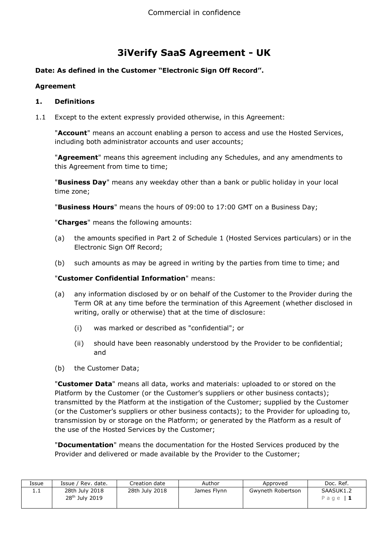# **3iVerify SaaS Agreement - UK**

# **Date: As defined in the Customer "Electronic Sign Off Record".**

#### **Agreement**

#### **1. Definitions**

1.1 Except to the extent expressly provided otherwise, in this Agreement:

"**Account**" means an account enabling a person to access and use the Hosted Services, including both administrator accounts and user accounts;

"**Agreement**" means this agreement including any Schedules, and any amendments to this Agreement from time to time;

"**Business Day**" means any weekday other than a bank or public holiday in your local time zone;

"**Business Hours**" means the hours of 09:00 to 17:00 GMT on a Business Day;

"**Charges**" means the following amounts:

- (a) the amounts specified in Part 2 of Schedule 1 (Hosted Services particulars) or in the Electronic Sign Off Record;
- (b) such amounts as may be agreed in writing by the parties from time to time; and

# "**Customer Confidential Information**" means:

- (a) any information disclosed by or on behalf of the Customer to the Provider during the Term OR at any time before the termination of this Agreement (whether disclosed in writing, orally or otherwise) that at the time of disclosure:
	- (i) was marked or described as "confidential"; or
	- (ii) should have been reasonably understood by the Provider to be confidential; and
- (b) the Customer Data;

"**Customer Data**" means all data, works and materials: uploaded to or stored on the Platform by the Customer (or the Customer's suppliers or other business contacts); transmitted by the Platform at the instigation of the Customer; supplied by the Customer (or the Customer's suppliers or other business contacts); to the Provider for uploading to, transmission by or storage on the Platform; or generated by the Platform as a result of the use of the Hosted Services by the Customer;

"**Documentation**" means the documentation for the Hosted Services produced by the Provider and delivered or made available by the Provider to the Customer;

| Issue   | Issue / Rev. date.                           | Creation date  | Author      | Approved          | Doc. Ref.              |
|---------|----------------------------------------------|----------------|-------------|-------------------|------------------------|
| <b></b> | 28th July 2018<br>28 <sup>th</sup> July 2019 | 28th July 2018 | James Flynn | Gwyneth Robertson | SAASUK1.2<br>Page $ 1$ |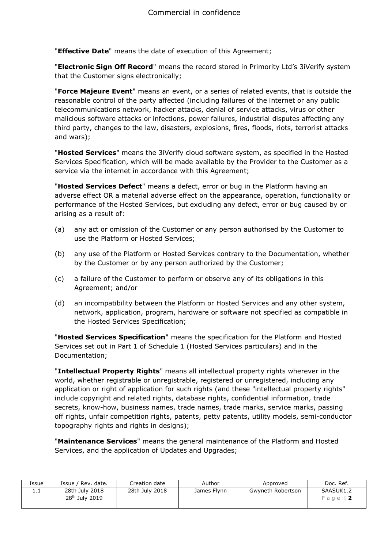"**Effective Date**" means the date of execution of this Agreement;

"**Electronic Sign Off Record**" means the record stored in Primority Ltd's 3iVerify system that the Customer signs electronically;

"**Force Majeure Event**" means an event, or a series of related events, that is outside the reasonable control of the party affected (including failures of the internet or any public telecommunications network, hacker attacks, denial of service attacks, virus or other malicious software attacks or infections, power failures, industrial disputes affecting any third party, changes to the law, disasters, explosions, fires, floods, riots, terrorist attacks and wars);

"**Hosted Services**" means the 3iVerify cloud software system, as specified in the Hosted Services Specification, which will be made available by the Provider to the Customer as a service via the internet in accordance with this Agreement;

"**Hosted Services Defect**" means a defect, error or bug in the Platform having an adverse effect OR a material adverse effect on the appearance, operation, functionality or performance of the Hosted Services, but excluding any defect, error or bug caused by or arising as a result of:

- (a) any act or omission of the Customer or any person authorised by the Customer to use the Platform or Hosted Services;
- (b) any use of the Platform or Hosted Services contrary to the Documentation, whether by the Customer or by any person authorized by the Customer;
- (c) a failure of the Customer to perform or observe any of its obligations in this Agreement; and/or
- (d) an incompatibility between the Platform or Hosted Services and any other system, network, application, program, hardware or software not specified as compatible in the Hosted Services Specification;

"**Hosted Services Specification**" means the specification for the Platform and Hosted Services set out in Part 1 of Schedule 1 (Hosted Services particulars) and in the Documentation;

"**Intellectual Property Rights**" means all intellectual property rights wherever in the world, whether registrable or unregistrable, registered or unregistered, including any application or right of application for such rights (and these "intellectual property rights" include copyright and related rights, database rights, confidential information, trade secrets, know-how, business names, trade names, trade marks, service marks, passing off rights, unfair competition rights, patents, petty patents, utility models, semi-conductor topography rights and rights in designs);

"**Maintenance Services**" means the general maintenance of the Platform and Hosted Services, and the application of Updates and Upgrades;

| Issue    | Issue / Rev. date.                           | Creation date  | Author      | Approved          | Doc. Ref.              |
|----------|----------------------------------------------|----------------|-------------|-------------------|------------------------|
| <b>.</b> | 28th July 2018<br>28 <sup>th</sup> July 2019 | 28th July 2018 | James Flynn | Gwyneth Robertson | SAASUK1.2<br>Page $ 2$ |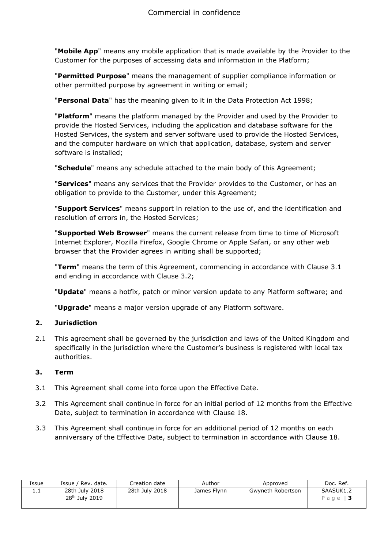"**Mobile App**" means any mobile application that is made available by the Provider to the Customer for the purposes of accessing data and information in the Platform;

"**Permitted Purpose**" means the management of supplier compliance information or other permitted purpose by agreement in writing or email;

"**Personal Data**" has the meaning given to it in the Data Protection Act 1998;

"**Platform**" means the platform managed by the Provider and used by the Provider to provide the Hosted Services, including the application and database software for the Hosted Services, the system and server software used to provide the Hosted Services, and the computer hardware on which that application, database, system and server software is installed;

"**Schedule**" means any schedule attached to the main body of this Agreement;

"**Services**" means any services that the Provider provides to the Customer, or has an obligation to provide to the Customer, under this Agreement;

"**Support Services**" means support in relation to the use of, and the identification and resolution of errors in, the Hosted Services;

"**Supported Web Browser**" means the current release from time to time of Microsoft Internet Explorer, Mozilla Firefox, Google Chrome or Apple Safari, or any other web browser that the Provider agrees in writing shall be supported;

"**Term**" means the term of this Agreement, commencing in accordance with Clause 3.1 and ending in accordance with Clause 3.2;

"**Update**" means a hotfix, patch or minor version update to any Platform software; and

"**Upgrade**" means a major version upgrade of any Platform software.

#### **2. Jurisdiction**

2.1 This agreement shall be governed by the jurisdiction and laws of the United Kingdom and specifically in the jurisdiction where the Customer's business is registered with local tax authorities.

#### **3. Term**

- 3.1 This Agreement shall come into force upon the Effective Date.
- 3.2 This Agreement shall continue in force for an initial period of 12 months from the Effective Date, subject to termination in accordance with Clause 18.
- 3.3 This Agreement shall continue in force for an additional period of 12 months on each anniversary of the Effective Date, subject to termination in accordance with Clause 18.

| Issue    | Issue / Rev. date.                           | Creation date  | Author      | Approved          | Doc. Ref.                   |
|----------|----------------------------------------------|----------------|-------------|-------------------|-----------------------------|
| <b>.</b> | 28th July 2018<br>28 <sup>th</sup> July 2019 | 28th July 2018 | James Flynn | Gwyneth Robertson | SAASUK1.2<br>Page $\vert$ 3 |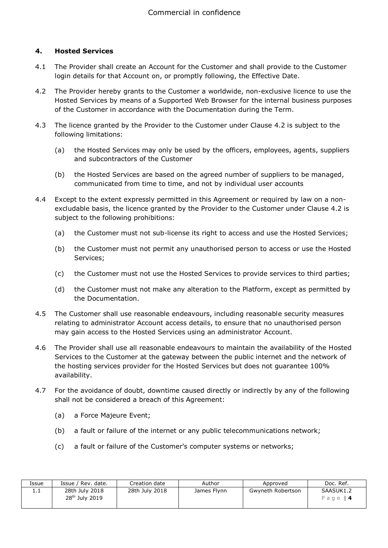#### **4. Hosted Services**

- 4.1 The Provider shall create an Account for the Customer and shall provide to the Customer login details for that Account on, or promptly following, the Effective Date.
- 4.2 The Provider hereby grants to the Customer a worldwide, non-exclusive licence to use the Hosted Services by means of a Supported Web Browser for the internal business purposes of the Customer in accordance with the Documentation during the Term.
- 4.3 The licence granted by the Provider to the Customer under Clause 4.2 is subject to the following limitations:
	- (a) the Hosted Services may only be used by the officers, employees, agents, suppliers and subcontractors of the Customer
	- (b) the Hosted Services are based on the agreed number of suppliers to be managed, communicated from time to time, and not by individual user accounts
- 4.4 Except to the extent expressly permitted in this Agreement or required by law on a nonexcludable basis, the licence granted by the Provider to the Customer under Clause 4.2 is subject to the following prohibitions:
	- (a) the Customer must not sub-license its right to access and use the Hosted Services;
	- (b) the Customer must not permit any unauthorised person to access or use the Hosted Services;
	- (c) the Customer must not use the Hosted Services to provide services to third parties;
	- (d) the Customer must not make any alteration to the Platform, except as permitted by the Documentation.
- 4.5 The Customer shall use reasonable endeavours, including reasonable security measures relating to administrator Account access details, to ensure that no unauthorised person may gain access to the Hosted Services using an administrator Account.
- 4.6 The Provider shall use all reasonable endeavours to maintain the availability of the Hosted Services to the Customer at the gateway between the public internet and the network of the hosting services provider for the Hosted Services but does not guarantee 100% availability.
- 4.7 For the avoidance of doubt, downtime caused directly or indirectly by any of the following shall not be considered a breach of this Agreement:
	- (a) a Force Majeure Event;
	- (b) a fault or failure of the internet or any public telecommunications network;
	- (c) a fault or failure of the Customer's computer systems or networks;

| Issue    | Issue / Rev. date.         | Creation date  | Author      | Approved          | Doc. Ref. |
|----------|----------------------------|----------------|-------------|-------------------|-----------|
| <b>.</b> | 28th July 2018             | 28th July 2018 | James Flynn | Gwyneth Robertson | SAASUK1.2 |
|          | 28 <sup>th</sup> July 2019 |                |             |                   | Page   4  |
|          |                            |                |             |                   |           |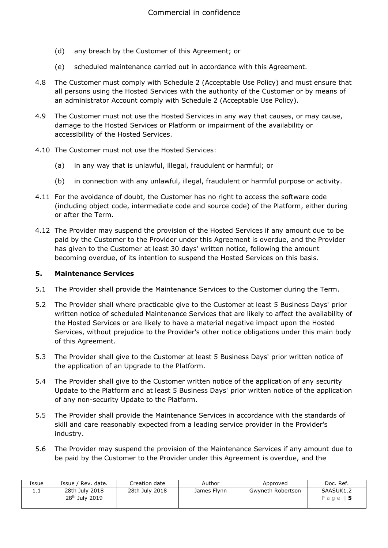- (d) any breach by the Customer of this Agreement; or
- (e) scheduled maintenance carried out in accordance with this Agreement.
- 4.8 The Customer must comply with Schedule 2 (Acceptable Use Policy) and must ensure that all persons using the Hosted Services with the authority of the Customer or by means of an administrator Account comply with Schedule 2 (Acceptable Use Policy).
- 4.9 The Customer must not use the Hosted Services in any way that causes, or may cause, damage to the Hosted Services or Platform or impairment of the availability or accessibility of the Hosted Services.
- 4.10 The Customer must not use the Hosted Services:
	- (a) in any way that is unlawful, illegal, fraudulent or harmful; or
	- (b) in connection with any unlawful, illegal, fraudulent or harmful purpose or activity.
- 4.11 For the avoidance of doubt, the Customer has no right to access the software code (including object code, intermediate code and source code) of the Platform, either during or after the Term.
- 4.12 The Provider may suspend the provision of the Hosted Services if any amount due to be paid by the Customer to the Provider under this Agreement is overdue, and the Provider has given to the Customer at least 30 days' written notice, following the amount becoming overdue, of its intention to suspend the Hosted Services on this basis.

#### **5. Maintenance Services**

- 5.1 The Provider shall provide the Maintenance Services to the Customer during the Term.
- 5.2 The Provider shall where practicable give to the Customer at least 5 Business Days' prior written notice of scheduled Maintenance Services that are likely to affect the availability of the Hosted Services or are likely to have a material negative impact upon the Hosted Services, without prejudice to the Provider's other notice obligations under this main body of this Agreement.
- 5.3 The Provider shall give to the Customer at least 5 Business Days' prior written notice of the application of an Upgrade to the Platform.
- 5.4 The Provider shall give to the Customer written notice of the application of any security Update to the Platform and at least 5 Business Days' prior written notice of the application of any non-security Update to the Platform.
- 5.5 The Provider shall provide the Maintenance Services in accordance with the standards of skill and care reasonably expected from a leading service provider in the Provider's industry.
- 5.6 The Provider may suspend the provision of the Maintenance Services if any amount due to be paid by the Customer to the Provider under this Agreement is overdue, and the

| Issue | Issue /<br>' Rev. date.                      | Creation date  | Author      | Approved          | Doc. Ref.             |
|-------|----------------------------------------------|----------------|-------------|-------------------|-----------------------|
| ⊥.⊥   | 28th July 2018<br>28 <sup>th</sup> July 2019 | 28th July 2018 | James Flynn | Gwyneth Robertson | SAASUK1.2<br>Page   5 |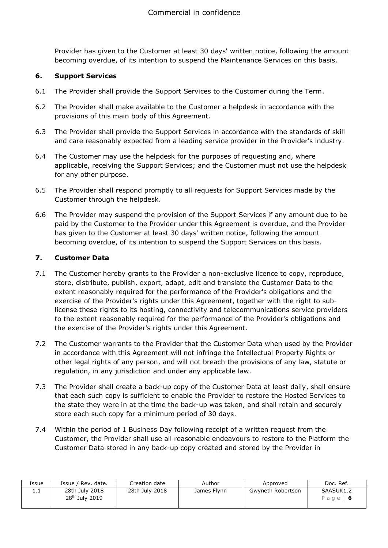Provider has given to the Customer at least 30 days' written notice, following the amount becoming overdue, of its intention to suspend the Maintenance Services on this basis.

#### **6. Support Services**

- 6.1 The Provider shall provide the Support Services to the Customer during the Term.
- 6.2 The Provider shall make available to the Customer a helpdesk in accordance with the provisions of this main body of this Agreement.
- 6.3 The Provider shall provide the Support Services in accordance with the standards of skill and care reasonably expected from a leading service provider in the Provider's industry.
- 6.4 The Customer may use the helpdesk for the purposes of requesting and, where applicable, receiving the Support Services; and the Customer must not use the helpdesk for any other purpose.
- 6.5 The Provider shall respond promptly to all requests for Support Services made by the Customer through the helpdesk.
- 6.6 The Provider may suspend the provision of the Support Services if any amount due to be paid by the Customer to the Provider under this Agreement is overdue, and the Provider has given to the Customer at least 30 days' written notice, following the amount becoming overdue, of its intention to suspend the Support Services on this basis.

#### **7. Customer Data**

- 7.1 The Customer hereby grants to the Provider a non-exclusive licence to copy, reproduce, store, distribute, publish, export, adapt, edit and translate the Customer Data to the extent reasonably required for the performance of the Provider's obligations and the exercise of the Provider's rights under this Agreement, together with the right to sublicense these rights to its hosting, connectivity and telecommunications service providers to the extent reasonably required for the performance of the Provider's obligations and the exercise of the Provider's rights under this Agreement.
- 7.2 The Customer warrants to the Provider that the Customer Data when used by the Provider in accordance with this Agreement will not infringe the Intellectual Property Rights or other legal rights of any person, and will not breach the provisions of any law, statute or regulation, in any jurisdiction and under any applicable law.
- 7.3 The Provider shall create a back-up copy of the Customer Data at least daily, shall ensure that each such copy is sufficient to enable the Provider to restore the Hosted Services to the state they were in at the time the back-up was taken, and shall retain and securely store each such copy for a minimum period of 30 days.
- 7.4 Within the period of 1 Business Day following receipt of a written request from the Customer, the Provider shall use all reasonable endeavours to restore to the Platform the Customer Data stored in any back-up copy created and stored by the Provider in

| Issue | Issue / Rev. date.                           | Creation date  | Author      | Approved          | Doc. Ref.             |
|-------|----------------------------------------------|----------------|-------------|-------------------|-----------------------|
| 1. L  | 28th July 2018<br>28 <sup>th</sup> July 2019 | 28th July 2018 | James Flynn | Gwyneth Robertson | SAASUK1.2<br>Page   6 |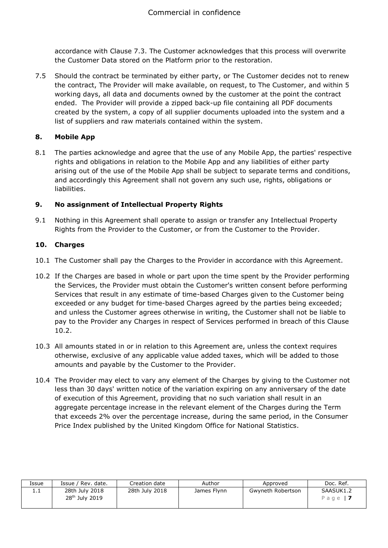accordance with Clause 7.3. The Customer acknowledges that this process will overwrite the Customer Data stored on the Platform prior to the restoration.

7.5 Should the contract be terminated by either party, or The Customer decides not to renew the contract, The Provider will make available, on request, to The Customer, and within 5 working days, all data and documents owned by the customer at the point the contract ended. The Provider will provide a zipped back-up file containing all PDF documents created by the system, a copy of all supplier documents uploaded into the system and a list of suppliers and raw materials contained within the system.

# **8. Mobile App**

8.1 The parties acknowledge and agree that the use of any Mobile App, the parties' respective rights and obligations in relation to the Mobile App and any liabilities of either party arising out of the use of the Mobile App shall be subject to separate terms and conditions, and accordingly this Agreement shall not govern any such use, rights, obligations or liabilities.

# **9. No assignment of Intellectual Property Rights**

9.1 Nothing in this Agreement shall operate to assign or transfer any Intellectual Property Rights from the Provider to the Customer, or from the Customer to the Provider.

# **10. Charges**

- 10.1 The Customer shall pay the Charges to the Provider in accordance with this Agreement.
- 10.2 If the Charges are based in whole or part upon the time spent by the Provider performing the Services, the Provider must obtain the Customer's written consent before performing Services that result in any estimate of time-based Charges given to the Customer being exceeded or any budget for time-based Charges agreed by the parties being exceeded; and unless the Customer agrees otherwise in writing, the Customer shall not be liable to pay to the Provider any Charges in respect of Services performed in breach of this Clause 10.2.
- 10.3 All amounts stated in or in relation to this Agreement are, unless the context requires otherwise, exclusive of any applicable value added taxes, which will be added to those amounts and payable by the Customer to the Provider.
- 10.4 The Provider may elect to vary any element of the Charges by giving to the Customer not less than 30 days' written notice of the variation expiring on any anniversary of the date of execution of this Agreement, providing that no such variation shall result in an aggregate percentage increase in the relevant element of the Charges during the Term that exceeds 2% over the percentage increase, during the same period, in the Consumer Price Index published by the United Kingdom Office for National Statistics.

| Issue | Issue / Rev. date.                           | Creation date  | Author      | Approved          | Doc. Ref.               |
|-------|----------------------------------------------|----------------|-------------|-------------------|-------------------------|
| .     | 28th July 2018<br>28 <sup>th</sup> July 2019 | 28th July 2018 | James Flynn | Gwyneth Robertson | SAASUK1.2<br>Page   $7$ |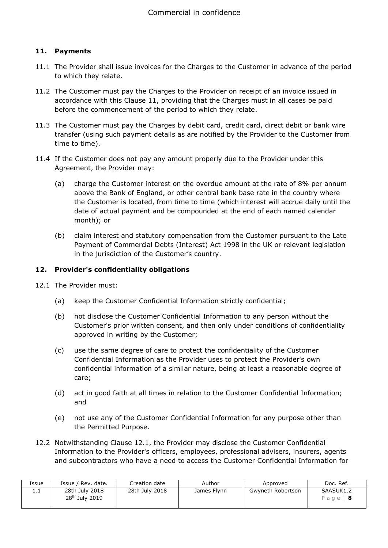# **11. Payments**

- 11.1 The Provider shall issue invoices for the Charges to the Customer in advance of the period to which they relate.
- 11.2 The Customer must pay the Charges to the Provider on receipt of an invoice issued in accordance with this Clause 11, providing that the Charges must in all cases be paid before the commencement of the period to which they relate.
- 11.3 The Customer must pay the Charges by debit card, credit card, direct debit or bank wire transfer (using such payment details as are notified by the Provider to the Customer from time to time).
- 11.4 If the Customer does not pay any amount properly due to the Provider under this Agreement, the Provider may:
	- (a) charge the Customer interest on the overdue amount at the rate of 8% per annum above the Bank of England, or other central bank base rate in the country where the Customer is located, from time to time (which interest will accrue daily until the date of actual payment and be compounded at the end of each named calendar month); or
	- (b) claim interest and statutory compensation from the Customer pursuant to the Late Payment of Commercial Debts (Interest) Act 1998 in the UK or relevant legislation in the jurisdiction of the Customer's country.

#### **12. Provider's confidentiality obligations**

- 12.1 The Provider must:
	- (a) keep the Customer Confidential Information strictly confidential;
	- (b) not disclose the Customer Confidential Information to any person without the Customer's prior written consent, and then only under conditions of confidentiality approved in writing by the Customer;
	- (c) use the same degree of care to protect the confidentiality of the Customer Confidential Information as the Provider uses to protect the Provider's own confidential information of a similar nature, being at least a reasonable degree of care;
	- (d) act in good faith at all times in relation to the Customer Confidential Information; and
	- (e) not use any of the Customer Confidential Information for any purpose other than the Permitted Purpose.
- 12.2 Notwithstanding Clause 12.1, the Provider may disclose the Customer Confidential Information to the Provider's officers, employees, professional advisers, insurers, agents and subcontractors who have a need to access the Customer Confidential Information for

| Issue   | Issue / Rev. date.                           | Creation date  | Author      | Approved          | Doc. Ref.                   |
|---------|----------------------------------------------|----------------|-------------|-------------------|-----------------------------|
| <b></b> | 28th July 2018<br>28 <sup>th</sup> July 2019 | 28th July 2018 | James Flynn | Gwyneth Robertson | SAASUK1.2<br>Page $\vert$ 8 |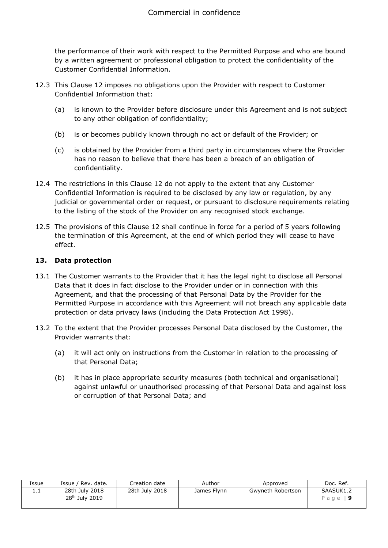the performance of their work with respect to the Permitted Purpose and who are bound by a written agreement or professional obligation to protect the confidentiality of the Customer Confidential Information.

- 12.3 This Clause 12 imposes no obligations upon the Provider with respect to Customer Confidential Information that:
	- (a) is known to the Provider before disclosure under this Agreement and is not subject to any other obligation of confidentiality;
	- (b) is or becomes publicly known through no act or default of the Provider; or
	- (c) is obtained by the Provider from a third party in circumstances where the Provider has no reason to believe that there has been a breach of an obligation of confidentiality.
- 12.4 The restrictions in this Clause 12 do not apply to the extent that any Customer Confidential Information is required to be disclosed by any law or regulation, by any judicial or governmental order or request, or pursuant to disclosure requirements relating to the listing of the stock of the Provider on any recognised stock exchange.
- 12.5 The provisions of this Clause 12 shall continue in force for a period of 5 years following the termination of this Agreement, at the end of which period they will cease to have effect.

# **13. Data protection**

- 13.1 The Customer warrants to the Provider that it has the legal right to disclose all Personal Data that it does in fact disclose to the Provider under or in connection with this Agreement, and that the processing of that Personal Data by the Provider for the Permitted Purpose in accordance with this Agreement will not breach any applicable data protection or data privacy laws (including the Data Protection Act 1998).
- 13.2 To the extent that the Provider processes Personal Data disclosed by the Customer, the Provider warrants that:
	- (a) it will act only on instructions from the Customer in relation to the processing of that Personal Data;
	- (b) it has in place appropriate security measures (both technical and organisational) against unlawful or unauthorised processing of that Personal Data and against loss or corruption of that Personal Data; and

| Issue | Issue / Rev. date.                           | Creation date  | Author      | Approved          | Doc. Ref.             |
|-------|----------------------------------------------|----------------|-------------|-------------------|-----------------------|
| 1.1   | 28th July 2018<br>28 <sup>th</sup> July 2019 | 28th July 2018 | James Flynn | Gwyneth Robertson | SAASUK1.2<br>Page   9 |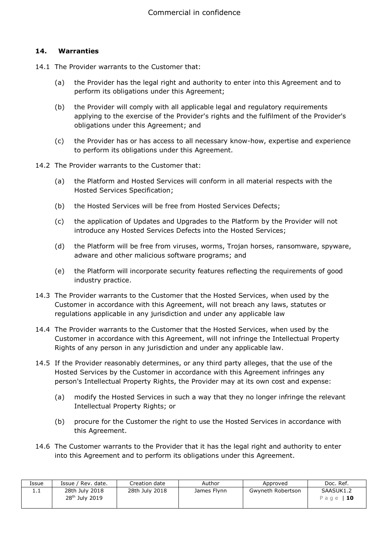#### **14. Warranties**

- 14.1 The Provider warrants to the Customer that:
	- (a) the Provider has the legal right and authority to enter into this Agreement and to perform its obligations under this Agreement;
	- (b) the Provider will comply with all applicable legal and regulatory requirements applying to the exercise of the Provider's rights and the fulfilment of the Provider's obligations under this Agreement; and
	- (c) the Provider has or has access to all necessary know-how, expertise and experience to perform its obligations under this Agreement.
- 14.2 The Provider warrants to the Customer that:
	- (a) the Platform and Hosted Services will conform in all material respects with the Hosted Services Specification;
	- (b) the Hosted Services will be free from Hosted Services Defects;
	- (c) the application of Updates and Upgrades to the Platform by the Provider will not introduce any Hosted Services Defects into the Hosted Services;
	- (d) the Platform will be free from viruses, worms, Trojan horses, ransomware, spyware, adware and other malicious software programs; and
	- (e) the Platform will incorporate security features reflecting the requirements of good industry practice.
- 14.3 The Provider warrants to the Customer that the Hosted Services, when used by the Customer in accordance with this Agreement, will not breach any laws, statutes or regulations applicable in any jurisdiction and under any applicable law
- 14.4 The Provider warrants to the Customer that the Hosted Services, when used by the Customer in accordance with this Agreement, will not infringe the Intellectual Property Rights of any person in any jurisdiction and under any applicable law.
- 14.5 If the Provider reasonably determines, or any third party alleges, that the use of the Hosted Services by the Customer in accordance with this Agreement infringes any person's Intellectual Property Rights, the Provider may at its own cost and expense:
	- (a) modify the Hosted Services in such a way that they no longer infringe the relevant Intellectual Property Rights; or
	- (b) procure for the Customer the right to use the Hosted Services in accordance with this Agreement.
- 14.6 The Customer warrants to the Provider that it has the legal right and authority to enter into this Agreement and to perform its obligations under this Agreement.

| Issue | Issue / Rev. date.                           | Creation date  | Author      | Approved          | Doc. Ref.              |
|-------|----------------------------------------------|----------------|-------------|-------------------|------------------------|
| ⊥.⊥   | 28th July 2018<br>28 <sup>th</sup> July 2019 | 28th July 2018 | James Flynn | Gwyneth Robertson | SAASUK1.2<br>Page   10 |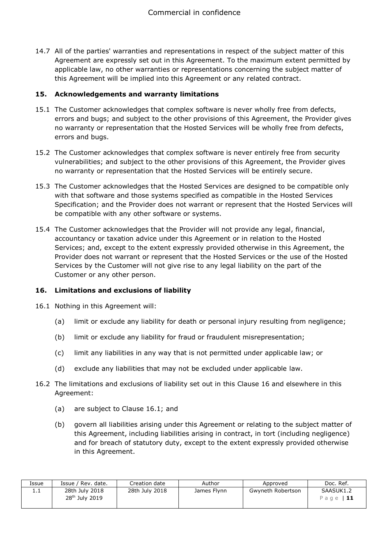14.7 All of the parties' warranties and representations in respect of the subject matter of this Agreement are expressly set out in this Agreement. To the maximum extent permitted by applicable law, no other warranties or representations concerning the subject matter of this Agreement will be implied into this Agreement or any related contract.

#### **15. Acknowledgements and warranty limitations**

- 15.1 The Customer acknowledges that complex software is never wholly free from defects, errors and bugs; and subject to the other provisions of this Agreement, the Provider gives no warranty or representation that the Hosted Services will be wholly free from defects, errors and bugs.
- 15.2 The Customer acknowledges that complex software is never entirely free from security vulnerabilities; and subject to the other provisions of this Agreement, the Provider gives no warranty or representation that the Hosted Services will be entirely secure.
- 15.3 The Customer acknowledges that the Hosted Services are designed to be compatible only with that software and those systems specified as compatible in the Hosted Services Specification; and the Provider does not warrant or represent that the Hosted Services will be compatible with any other software or systems.
- 15.4 The Customer acknowledges that the Provider will not provide any legal, financial, accountancy or taxation advice under this Agreement or in relation to the Hosted Services; and, except to the extent expressly provided otherwise in this Agreement, the Provider does not warrant or represent that the Hosted Services or the use of the Hosted Services by the Customer will not give rise to any legal liability on the part of the Customer or any other person.

# **16. Limitations and exclusions of liability**

- 16.1 Nothing in this Agreement will:
	- (a) limit or exclude any liability for death or personal injury resulting from negligence;
	- (b) limit or exclude any liability for fraud or fraudulent misrepresentation;
	- (c) limit any liabilities in any way that is not permitted under applicable law; or
	- (d) exclude any liabilities that may not be excluded under applicable law.
- 16.2 The limitations and exclusions of liability set out in this Clause 16 and elsewhere in this Agreement:
	- (a) are subject to Clause 16.1; and
	- (b) govern all liabilities arising under this Agreement or relating to the subject matter of this Agreement, including liabilities arising in contract, in tort (including negligence) and for breach of statutory duty, except to the extent expressly provided otherwise in this Agreement.

| Issue    | Issue / Rev. date.                           | Creation date  | Author      | Approved          | Doc. Ref.                |
|----------|----------------------------------------------|----------------|-------------|-------------------|--------------------------|
| <b>.</b> | 28th July 2018<br>28 <sup>th</sup> July 2019 | 28th July 2018 | James Flynn | Gwyneth Robertson | SAASUK1.2<br>Page   $11$ |
|          |                                              |                |             |                   |                          |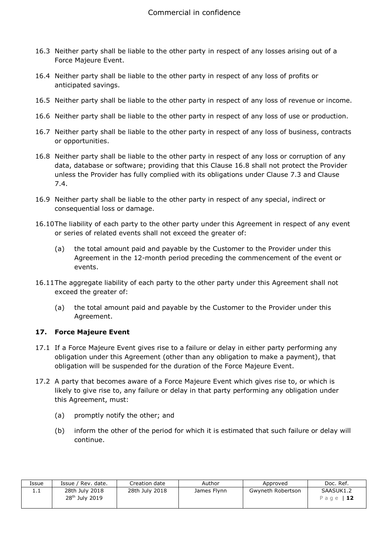- 16.3 Neither party shall be liable to the other party in respect of any losses arising out of a Force Majeure Event.
- 16.4 Neither party shall be liable to the other party in respect of any loss of profits or anticipated savings.
- 16.5 Neither party shall be liable to the other party in respect of any loss of revenue or income.
- 16.6 Neither party shall be liable to the other party in respect of any loss of use or production.
- 16.7 Neither party shall be liable to the other party in respect of any loss of business, contracts or opportunities.
- 16.8 Neither party shall be liable to the other party in respect of any loss or corruption of any data, database or software; providing that this Clause 16.8 shall not protect the Provider unless the Provider has fully complied with its obligations under Clause 7.3 and Clause 7.4.
- 16.9 Neither party shall be liable to the other party in respect of any special, indirect or consequential loss or damage.
- 16.10The liability of each party to the other party under this Agreement in respect of any event or series of related events shall not exceed the greater of:
	- (a) the total amount paid and payable by the Customer to the Provider under this Agreement in the 12-month period preceding the commencement of the event or events.
- 16.11The aggregate liability of each party to the other party under this Agreement shall not exceed the greater of:
	- (a) the total amount paid and payable by the Customer to the Provider under this Agreement.

# **17. Force Majeure Event**

- 17.1 If a Force Majeure Event gives rise to a failure or delay in either party performing any obligation under this Agreement (other than any obligation to make a payment), that obligation will be suspended for the duration of the Force Majeure Event.
- 17.2 A party that becomes aware of a Force Majeure Event which gives rise to, or which is likely to give rise to, any failure or delay in that party performing any obligation under this Agreement, must:
	- (a) promptly notify the other; and
	- (b) inform the other of the period for which it is estimated that such failure or delay will continue.

| Issue | Issue / Rev. date.                           | Creation date  | Author      | Approved          | Doc. Ref.              |
|-------|----------------------------------------------|----------------|-------------|-------------------|------------------------|
| ⊥.⊥   | 28th July 2018<br>28 <sup>th</sup> July 2019 | 28th July 2018 | James Flynn | Gwyneth Robertson | SAASUK1.2<br>Page   12 |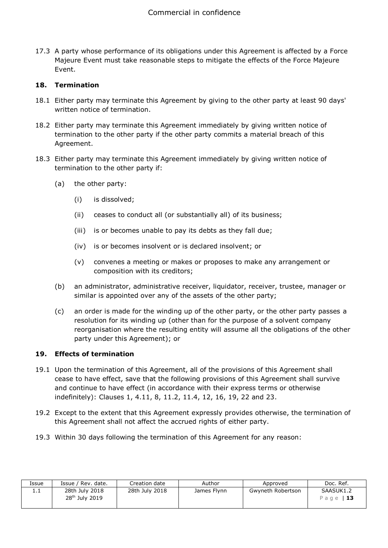17.3 A party whose performance of its obligations under this Agreement is affected by a Force Majeure Event must take reasonable steps to mitigate the effects of the Force Majeure Event.

# **18. Termination**

- 18.1 Either party may terminate this Agreement by giving to the other party at least 90 days' written notice of termination.
- 18.2 Either party may terminate this Agreement immediately by giving written notice of termination to the other party if the other party commits a material breach of this Agreement.
- 18.3 Either party may terminate this Agreement immediately by giving written notice of termination to the other party if:
	- (a) the other party:
		- (i) is dissolved;
		- (ii) ceases to conduct all (or substantially all) of its business;
		- (iii) is or becomes unable to pay its debts as they fall due;
		- (iv) is or becomes insolvent or is declared insolvent; or
		- (v) convenes a meeting or makes or proposes to make any arrangement or composition with its creditors;
	- (b) an administrator, administrative receiver, liquidator, receiver, trustee, manager or similar is appointed over any of the assets of the other party;
	- (c) an order is made for the winding up of the other party, or the other party passes a resolution for its winding up (other than for the purpose of a solvent company reorganisation where the resulting entity will assume all the obligations of the other party under this Agreement); or

#### **19. Effects of termination**

- 19.1 Upon the termination of this Agreement, all of the provisions of this Agreement shall cease to have effect, save that the following provisions of this Agreement shall survive and continue to have effect (in accordance with their express terms or otherwise indefinitely): Clauses 1, 4.11, 8, 11.2, 11.4, 12, 16, 19, 22 and 23.
- 19.2 Except to the extent that this Agreement expressly provides otherwise, the termination of this Agreement shall not affect the accrued rights of either party.
- 19.3 Within 30 days following the termination of this Agreement for any reason:

| Issue    | Issue / Rev. date.                           | Creation date  | Author      | Approved          | Doc. Ref.              |
|----------|----------------------------------------------|----------------|-------------|-------------------|------------------------|
| <b>.</b> | 28th July 2018<br>28 <sup>th</sup> July 2019 | 28th July 2018 | James Flynn | Gwyneth Robertson | SAASUK1.2<br>Page   13 |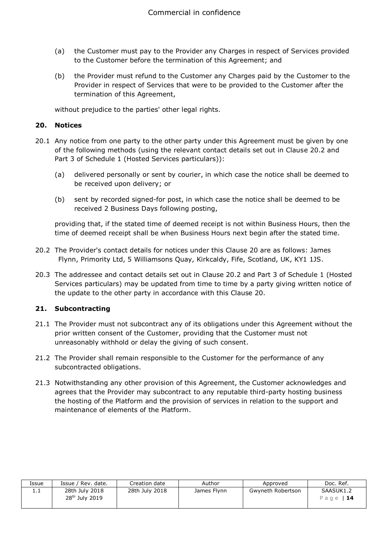- (a) the Customer must pay to the Provider any Charges in respect of Services provided to the Customer before the termination of this Agreement; and
- (b) the Provider must refund to the Customer any Charges paid by the Customer to the Provider in respect of Services that were to be provided to the Customer after the termination of this Agreement,

without prejudice to the parties' other legal rights.

#### **20. Notices**

- 20.1 Any notice from one party to the other party under this Agreement must be given by one of the following methods (using the relevant contact details set out in Clause 20.2 and Part 3 of Schedule 1 (Hosted Services particulars)):
	- (a) delivered personally or sent by courier, in which case the notice shall be deemed to be received upon delivery; or
	- (b) sent by recorded signed-for post, in which case the notice shall be deemed to be received 2 Business Days following posting,

providing that, if the stated time of deemed receipt is not within Business Hours, then the time of deemed receipt shall be when Business Hours next begin after the stated time.

- 20.2 The Provider's contact details for notices under this Clause 20 are as follows: James Flynn, Primority Ltd, 5 Williamsons Quay, Kirkcaldy, Fife, Scotland, UK, KY1 1JS.
- 20.3 The addressee and contact details set out in Clause 20.2 and Part 3 of Schedule 1 (Hosted Services particulars) may be updated from time to time by a party giving written notice of the update to the other party in accordance with this Clause 20.

# **21. Subcontracting**

- 21.1 The Provider must not subcontract any of its obligations under this Agreement without the prior written consent of the Customer, providing that the Customer must not unreasonably withhold or delay the giving of such consent.
- 21.2 The Provider shall remain responsible to the Customer for the performance of any subcontracted obligations.
- 21.3 Notwithstanding any other provision of this Agreement, the Customer acknowledges and agrees that the Provider may subcontract to any reputable third-party hosting business the hosting of the Platform and the provision of services in relation to the support and maintenance of elements of the Platform.

| Issue    | າ / Rev. date.<br>Issue /                    | Creation date  | Author      | Approved          | Doc. Ref.                     |
|----------|----------------------------------------------|----------------|-------------|-------------------|-------------------------------|
| <b>.</b> | 28th July 2018<br>28 <sup>th</sup> July 2019 | 28th July 2018 | James Flynn | Gwyneth Robertson | SAASUK1.2<br>Page 1 <b>14</b> |
|          |                                              |                |             |                   |                               |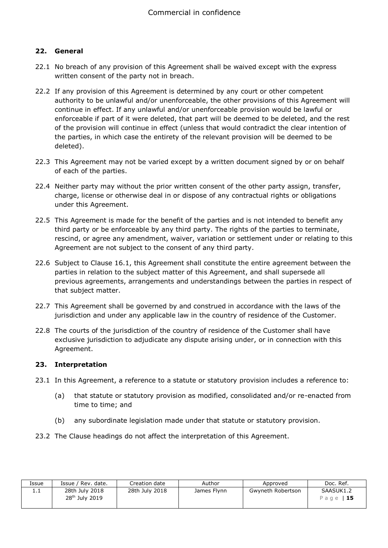# **22. General**

- 22.1 No breach of any provision of this Agreement shall be waived except with the express written consent of the party not in breach.
- 22.2 If any provision of this Agreement is determined by any court or other competent authority to be unlawful and/or unenforceable, the other provisions of this Agreement will continue in effect. If any unlawful and/or unenforceable provision would be lawful or enforceable if part of it were deleted, that part will be deemed to be deleted, and the rest of the provision will continue in effect (unless that would contradict the clear intention of the parties, in which case the entirety of the relevant provision will be deemed to be deleted).
- 22.3 This Agreement may not be varied except by a written document signed by or on behalf of each of the parties.
- 22.4 Neither party may without the prior written consent of the other party assign, transfer, charge, license or otherwise deal in or dispose of any contractual rights or obligations under this Agreement.
- 22.5 This Agreement is made for the benefit of the parties and is not intended to benefit any third party or be enforceable by any third party. The rights of the parties to terminate, rescind, or agree any amendment, waiver, variation or settlement under or relating to this Agreement are not subject to the consent of any third party.
- 22.6 Subject to Clause 16.1, this Agreement shall constitute the entire agreement between the parties in relation to the subject matter of this Agreement, and shall supersede all previous agreements, arrangements and understandings between the parties in respect of that subject matter.
- 22.7 This Agreement shall be governed by and construed in accordance with the laws of the jurisdiction and under any applicable law in the country of residence of the Customer.
- 22.8 The courts of the jurisdiction of the country of residence of the Customer shall have exclusive jurisdiction to adjudicate any dispute arising under, or in connection with this Agreement.

#### **23. Interpretation**

- 23.1 In this Agreement, a reference to a statute or statutory provision includes a reference to:
	- (a) that statute or statutory provision as modified, consolidated and/or re-enacted from time to time; and
	- (b) any subordinate legislation made under that statute or statutory provision.
- 23.2 The Clause headings do not affect the interpretation of this Agreement.

| Issue | Issue / Rev. date.                           | Creation date  | Author      | Approved          | Doc. Ref.              |
|-------|----------------------------------------------|----------------|-------------|-------------------|------------------------|
| 1.1   | 28th July 2018<br>28 <sup>th</sup> July 2019 | 28th July 2018 | James Flynn | Gwyneth Robertson | SAASUK1.2<br>Page   15 |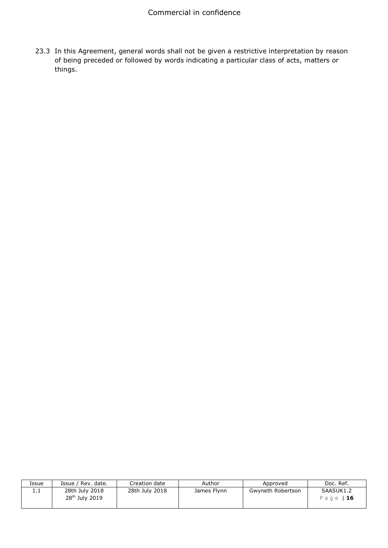23.3 In this Agreement, general words shall not be given a restrictive interpretation by reason of being preceded or followed by words indicating a particular class of acts, matters or things.

| Issue | Issue / Rev. date.                           | Creation date  | Author      | Approved          | Doc. Ref.              |
|-------|----------------------------------------------|----------------|-------------|-------------------|------------------------|
| .     | 28th July 2018<br>28 <sup>th</sup> July 2019 | 28th July 2018 | James Flynn | Gwyneth Robertson | SAASUK1.2<br>Page   16 |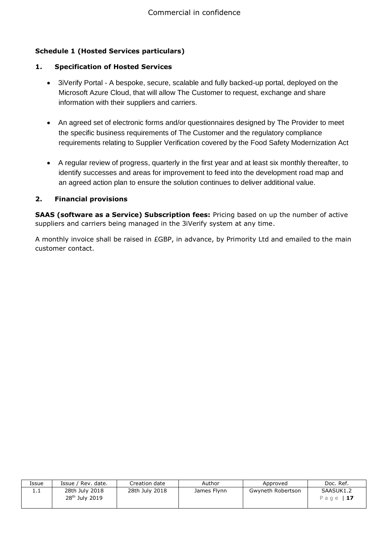# **Schedule 1 (Hosted Services particulars)**

# **1. Specification of Hosted Services**

- 3iVerify Portal A bespoke, secure, scalable and fully backed-up portal, deployed on the Microsoft Azure Cloud, that will allow The Customer to request, exchange and share information with their suppliers and carriers.
- An agreed set of electronic forms and/or questionnaires designed by The Provider to meet the specific business requirements of The Customer and the regulatory compliance requirements relating to Supplier Verification covered by the Food Safety Modernization Act
- A regular review of progress, quarterly in the first year and at least six monthly thereafter, to identify successes and areas for improvement to feed into the development road map and an agreed action plan to ensure the solution continues to deliver additional value.

# **2. Financial provisions**

**SAAS (software as a Service) Subscription fees:** Pricing based on up the number of active suppliers and carriers being managed in the 3iVerify system at any time.

A monthly invoice shall be raised in £GBP, in advance, by Primority Ltd and emailed to the main customer contact.

| Issue    | Issue / Rev. date.                           | Creation date  | Author      | Approved          | Doc. Ref.              |
|----------|----------------------------------------------|----------------|-------------|-------------------|------------------------|
| <b>.</b> | 28th July 2018<br>28 <sup>th</sup> July 2019 | 28th July 2018 | James Flynn | Gwyneth Robertson | SAASUK1.2<br>Page   17 |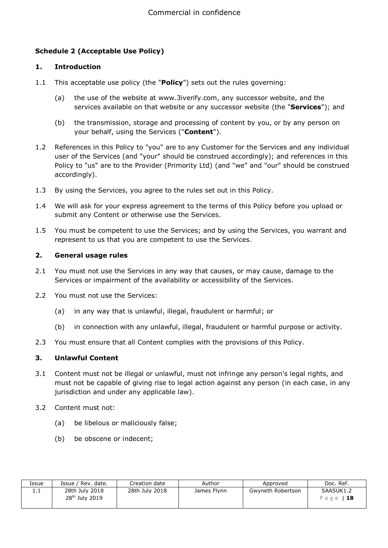# **Schedule 2 (Acceptable Use Policy)**

#### **1. Introduction**

- 1.1 This acceptable use policy (the "**Policy**") sets out the rules governing:
	- (a) the use of the website at www.3iverify.com, any successor website, and the services available on that website or any successor website (the "**Services**"); and
	- (b) the transmission, storage and processing of content by you, or by any person on your behalf, using the Services ("**Content**").
- 1.2 References in this Policy to "you" are to any Customer for the Services and any individual user of the Services (and "your" should be construed accordingly); and references in this Policy to "us" are to the Provider (Primority Ltd) (and "we" and "our" should be construed accordingly).
- 1.3 By using the Services, you agree to the rules set out in this Policy.
- 1.4 We will ask for your express agreement to the terms of this Policy before you upload or submit any Content or otherwise use the Services.
- 1.5 You must be competent to use the Services; and by using the Services, you warrant and represent to us that you are competent to use the Services.

#### **2. General usage rules**

- 2.1 You must not use the Services in any way that causes, or may cause, damage to the Services or impairment of the availability or accessibility of the Services.
- 2.2 You must not use the Services:
	- (a) in any way that is unlawful, illegal, fraudulent or harmful; or
	- (b) in connection with any unlawful, illegal, fraudulent or harmful purpose or activity.
- 2.3 You must ensure that all Content complies with the provisions of this Policy.

# **3. Unlawful Content**

- 3.1 Content must not be illegal or unlawful, must not infringe any person's legal rights, and must not be capable of giving rise to legal action against any person (in each case, in any jurisdiction and under any applicable law).
- 3.2 Content must not:
	- (a) be libelous or maliciously false;
	- (b) be obscene or indecent;

| Issue    | Issue / Rev. date.                           | Creation date  | Author      | Approved          | Doc. Ref.              |
|----------|----------------------------------------------|----------------|-------------|-------------------|------------------------|
| <b>.</b> | 28th July 2018<br>28 <sup>th</sup> July 2019 | 28th July 2018 | James Flynn | Gwyneth Robertson | SAASUK1.2<br>Page   18 |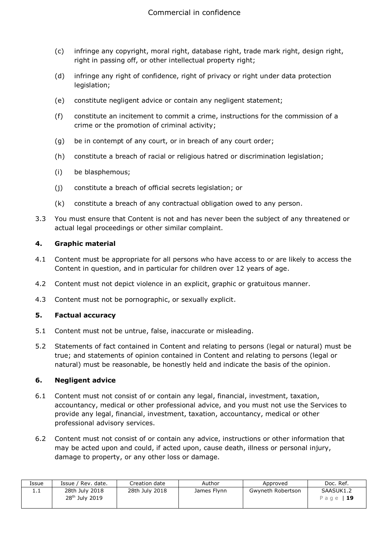- (c) infringe any copyright, moral right, database right, trade mark right, design right, right in passing off, or other intellectual property right;
- (d) infringe any right of confidence, right of privacy or right under data protection legislation;
- (e) constitute negligent advice or contain any negligent statement;
- (f) constitute an incitement to commit a crime, instructions for the commission of a crime or the promotion of criminal activity;
- (g) be in contempt of any court, or in breach of any court order;
- (h) constitute a breach of racial or religious hatred or discrimination legislation;
- (i) be blasphemous;
- (j) constitute a breach of official secrets legislation; or
- (k) constitute a breach of any contractual obligation owed to any person.
- 3.3 You must ensure that Content is not and has never been the subject of any threatened or actual legal proceedings or other similar complaint.

#### **4. Graphic material**

- 4.1 Content must be appropriate for all persons who have access to or are likely to access the Content in question, and in particular for children over 12 years of age.
- 4.2 Content must not depict violence in an explicit, graphic or gratuitous manner.
- 4.3 Content must not be pornographic, or sexually explicit.

# **5. Factual accuracy**

- 5.1 Content must not be untrue, false, inaccurate or misleading.
- 5.2 Statements of fact contained in Content and relating to persons (legal or natural) must be true; and statements of opinion contained in Content and relating to persons (legal or natural) must be reasonable, be honestly held and indicate the basis of the opinion.

#### **6. Negligent advice**

- 6.1 Content must not consist of or contain any legal, financial, investment, taxation, accountancy, medical or other professional advice, and you must not use the Services to provide any legal, financial, investment, taxation, accountancy, medical or other professional advisory services.
- 6.2 Content must not consist of or contain any advice, instructions or other information that may be acted upon and could, if acted upon, cause death, illness or personal injury, damage to property, or any other loss or damage.

| Issue    | Issue / Rev. date.                           | Creation date  | Author      | Approved          | Doc. Ref.              |
|----------|----------------------------------------------|----------------|-------------|-------------------|------------------------|
| <b>.</b> | 28th July 2018<br>28 <sup>th</sup> July 2019 | 28th July 2018 | James Flynn | Gwyneth Robertson | SAASUK1.2<br>Page   19 |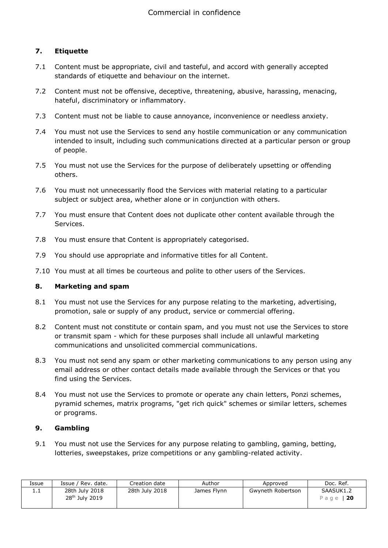# **7. Etiquette**

- 7.1 Content must be appropriate, civil and tasteful, and accord with generally accepted standards of etiquette and behaviour on the internet.
- 7.2 Content must not be offensive, deceptive, threatening, abusive, harassing, menacing, hateful, discriminatory or inflammatory.
- 7.3 Content must not be liable to cause annoyance, inconvenience or needless anxiety.
- 7.4 You must not use the Services to send any hostile communication or any communication intended to insult, including such communications directed at a particular person or group of people.
- 7.5 You must not use the Services for the purpose of deliberately upsetting or offending others.
- 7.6 You must not unnecessarily flood the Services with material relating to a particular subject or subject area, whether alone or in conjunction with others.
- 7.7 You must ensure that Content does not duplicate other content available through the Services.
- 7.8 You must ensure that Content is appropriately categorised.
- 7.9 You should use appropriate and informative titles for all Content.
- 7.10 You must at all times be courteous and polite to other users of the Services.

#### **8. Marketing and spam**

- 8.1 You must not use the Services for any purpose relating to the marketing, advertising, promotion, sale or supply of any product, service or commercial offering.
- 8.2 Content must not constitute or contain spam, and you must not use the Services to store or transmit spam - which for these purposes shall include all unlawful marketing communications and unsolicited commercial communications.
- 8.3 You must not send any spam or other marketing communications to any person using any email address or other contact details made available through the Services or that you find using the Services.
- 8.4 You must not use the Services to promote or operate any chain letters, Ponzi schemes, pyramid schemes, matrix programs, "get rich quick" schemes or similar letters, schemes or programs.

# **9. Gambling**

9.1 You must not use the Services for any purpose relating to gambling, gaming, betting, lotteries, sweepstakes, prize competitions or any gambling-related activity.

| Issue    | ' Rev. date.<br>Issue /                      | Creation date  | Author      | Approved          | Doc. Ref.              |
|----------|----------------------------------------------|----------------|-------------|-------------------|------------------------|
| <b>.</b> | 28th July 2018<br>28 <sup>th</sup> July 2019 | 28th July 2018 | James Flynn | Gwyneth Robertson | SAASUK1.2<br>Page   20 |